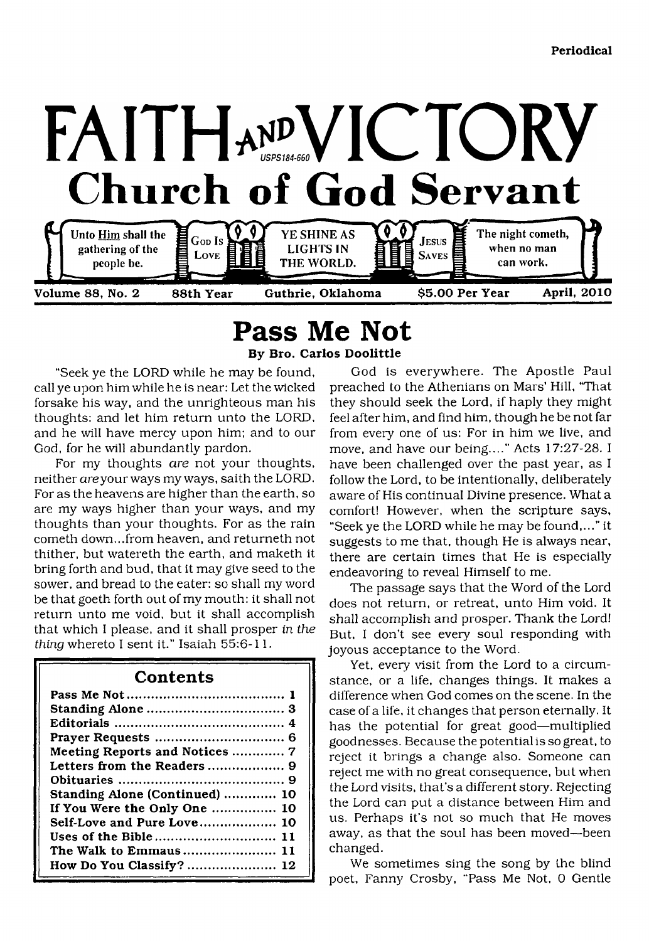

# **Pass Me Not**

**By Bro. Carlos Doolittle**

call ye upon him while he is near: Let the wicked forsake his way, and the unrighteous man his thoughts: and let him return unto the LORD, and he will have mercy upon him; and to our God, for he will abundantly pardon.

For my thoughts *are* not your thoughts, neither areyour ways my ways, saith the LORD. For as the heavens are higher than the earth, so are my ways higher than your ways, and my thoughts than your thoughts. For as the rain cometh down...from heaven, and returneth not thither, but watereth the earth, and maketh it bring forth and bud, that it may give seed to the sower, and bread to the eater: so shall my word be that goeth forth out of my mouth: it shall not return unto me void, but it shall accomplish that which I please, and it shall prosper *in the thing* whereto I sent it." Isaiah 55:6-11.

# **Contents**

| Meeting Reports and Notices  7 |
|--------------------------------|
|                                |
|                                |
| Standing Alone (Continued)  10 |
| If You Were the Only One  10   |
| Self-Love and Pure Love 10     |
| Uses of the Bible 11           |
| The Walk to Emmaus 11          |
| How Do You Classify?  12       |

<span id="page-0-0"></span>"Seek ye the LORD while he may be found, God is everywhere. The Apostle Paul preached to the Athenians on Mars' Hill, "That they should seek the Lord, if haply they might feel after him, and find him, though he be not far from every one of us: For in him we live, and move, and have our being...." Acts 17:27-28. I have been challenged over the past year, as I follow the Lord, to be intentionally, deliberately aware of His continual Divine presence. What a comfort! However, when the scripture says, "Seek ye the LORD while he may be found,..." it suggests to me that, though He is always near, there are certain times that He is especially endeavoring to reveal Himself to me.

> The passage says that the Word of the Lord does not return, or retreat, unto Him void. It shall accomplish and prosper. Thank the Lord! But, I don't see every soul responding with joyous acceptance to the Word.

> Yet, every visit from the Lord to a circumstance, or a life, changes things. It makes a difference when God comes on the scene. In the case of a life, it changes that person eternally. It has the potential for great good—multiplied goodnesses. Because the potential is so great, to reject it brings a change also. Someone can reject me with no great consequence, but when the Lord visits, that's a different story. Rejecting the Lord can put a distance between Him and us. Perhaps it's not so much that He moves away, as that the soul has been moved—been changed.

> We sometimes sing the song by the blind poet, Fanny Crosby, "Pass Me Not, 0 Gentle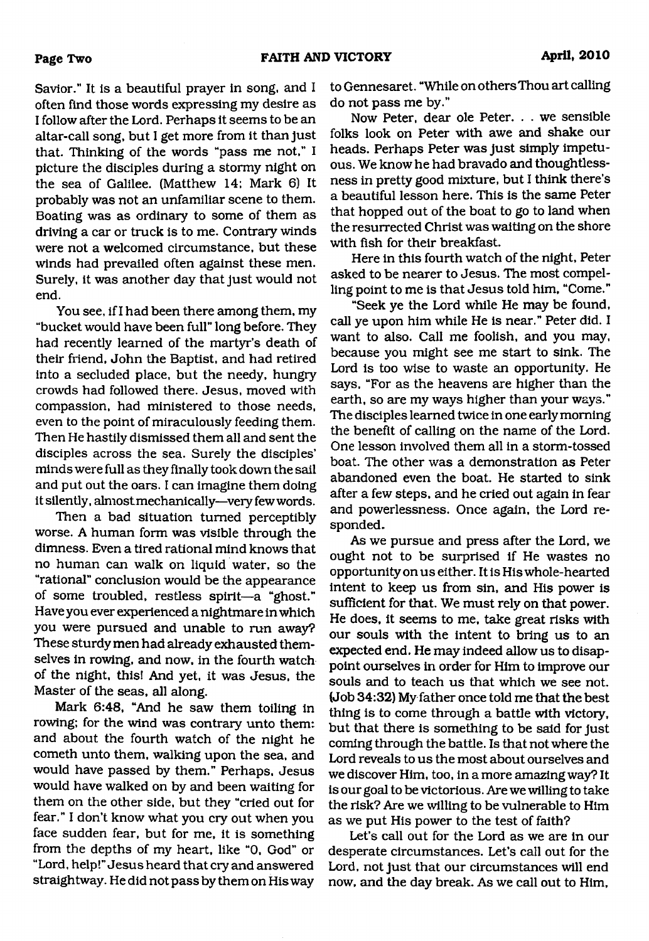**Page Two**

Savior." It is a beautiful prayer in song, and I often find those words expressing my desire as I follow after the Lord. Perhaps it seems to be an altar-call song, but I get more from it than just that. Thinking of the words "pass me not," I picture the disciples during a stormy night on the sea of Galilee. (Matthew 14; Mark 6) It probably was not an unfamiliar scene to them. Boating was as ordinary to some of them as driving a car or truck is to me. Contrary winds were not a welcomed circumstance, but these winds had prevailed often against these men. Surely, it was another day that just would not end.

You see, if I had been there among them, my "bucket would have been full" long before. They had recently learned of the martyr's death of their friend, John the Baptist, and had retired into a secluded place, but the needy, hungry crowds had followed there. Jesus, moved with compassion, had ministered to those needs, even to the point of miraculously feeding them. Then He hastily dismissed them all and sent the disciples across the sea. Surely the disciples' minds were full as they finally took down the sail and put out the oars. I can imagine them doing it silently, almostmechanically—very few words.

Then a bad situation turned perceptibly worse. A human form was visible through the dimness. Even a tired rational mind knows that no human can walk on liquid water, so the "rational" conclusion would be the appearance of some troubled, restless spirit—a "ghost." Have you ever experienced a nightmare in which you were pursued and unable to run away? These sturdy men had already exhausted themselves in rowing, and now, in the fourth watch of the night, this! And yet, it was Jesus, the Master of the seas, all along.

Mark 6:48, "And he saw them toiling in rowing; for the wind was contrary unto them: and about the fourth watch of the night he cometh unto them, walking upon the sea, and would have passed by them." Perhaps, Jesus would have walked on by and been waiting for them on the other side, but they "cried out for fear." I don't know what you cry out when you face sudden fear, but for me, it is something from the depths of my heart, like "0, God" or "Lord, help!" Jesus heard that cry and answered straightway. He did not pass by them on His way

to Gennesaret. "While on others Thou art calling do not pass me by."

Now Peter, dear ole Peter. . . we sensible folks look on Peter with awe and shake our heads. Perhaps Peter was just simply impetuous. We know he had bravado and thoughtlessness in pretty good mixture, but I think there's a beautiful lesson here. This is the same Peter that hopped out of the boat to go to land when the resurrected Christ was waiting on the shore with fish for their breakfast.

Here in this fourth watch of the night, Peter asked to be nearer to Jesus. The most compelling point to me is that Jesus told him, "Come."

"Seek ye the Lord while He may be found, call ye upon him while He is near." Peter did. I want to also. Call me foolish, and you may, because you might see me start to sink. The Lord is too wise to waste an opportunity. He says, "For as the heavens are higher than the earth, so are my ways higher than your ways." The disciples learned twice in one early morning the benefit of calling on the name of the Lord. One lesson involved them all in a storm-tossed boat. The other was a demonstration as Peter abandoned even the boat. He started to sink after a few steps, and he cried out again in fear and powerlessness. Once again, the Lord responded.

As we pursue and press after the Lord, we ought not to be surprised if He wastes no opportunity on us either. It is His whole-hearted intent to keep us from sin, and His power is sufficient for that. We must rely on that power. He does, it seems to me, take great risks with our souls with the intent to bring us to an expected end. He may indeed allow us to disappoint ourselves in order for Him to improve our souls and to teach us that which we see not. (Job 34:32) My father once told me that the best thing is to come through a battle with victory, but that there is something to be said for just coming through the battle. Is that not where the Lord reveals to us the most about ourselves and we discover Him, too, in a more amazing way? It is our goal to be victorious. Are we willing to take the risk? Are we willing to be vulnerable to Him as we put His power to the test of faith?

Let's call out for the Lord as we are in our desperate circumstances. Let's call out for the Lord, not just that our circumstances will end now, and the day break. As we call out to Him,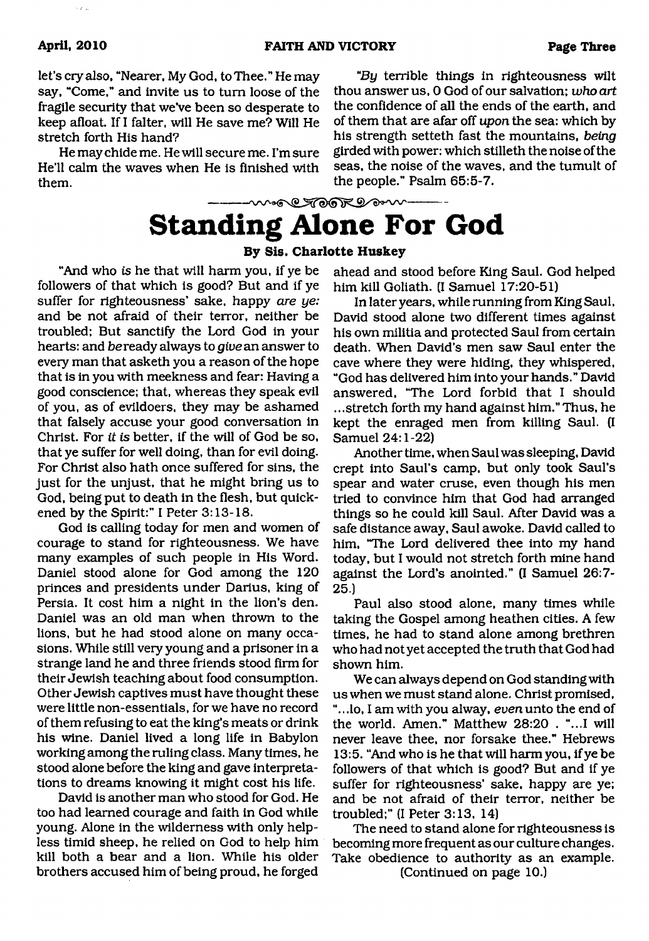let's *cry* also, "Nearer, My God, to Thee." He may say, "Come," and invite us to turn loose of the fragile security that we've been so desperate to keep afloat. If I falter, will He save me? Will He stretch forth His hand?

He may chide me. He will secure me. I'm sure He'll calm the waves when He is finished with them.

"By terrible things in righteousness wilt thou answer us, 0 God of our salvation; *who art* the confidence of all the ends of the earth, and of them that are afar off *upon* the sea: which by his strength setteth fast the mountains, *being* girded with power: which stilleth the noise of the seas, the noise of the waves, and the tumult of the people." Psalm 65:5-7.

# muse SCARR expone **Standing Alone For God**

# **By Sis. Charlotte Huskey**

"And who *is* he that will harm you, if ye be followers of that which is good? But and if ye suffer for righteousness' sake, happy *are ye:* and be not afraid of their terror, neither be troubled; But sanctify the Lord God in your hearts: and beready always to *give* an answer to every man that asketh you a reason of the hope that is in you with meekness and fear: Having a good conscience; that, whereas they speak evil of you, as of evildoers, they may be ashamed that falsely accuse your good conversation in Christ. For *it is* better, if the will of God be so, that ye suffer for well doing, than for evil doing. For Christ also hath once suffered for sins, the just for the unjust, that he might bring us to God, being put to death in the flesh, but quickened by the Spirit:" I Peter 3:13-18.

God is calling today for men and women of courage to stand for righteousness. We have many examples of such people in His Word. Daniel stood alone for God among the 120 princes and presidents under Darius, king of Persia. It cost him a night in the lion's den. Daniel was an old man when thrown to the lions, but he had stood alone on many occasions. While still very young and a prisoner in a strange land he and three friends stood firm for their Jewish teaching about food consumption. Other Jewish captives must have thought these were little non-essentials, for we have no record of them refusing to eat the king's meats or drink his wine. Daniel lived a long life in Babylon working among the ruling class. Many times, he stood alone before the king and gave interpretations to dreams knowing it might cost his life.

David is another man who stood for God. He too had learned courage and faith in God while young. Alone in the wilderness with only helpless timid sheep, he relied on God to help him kill both a bear and a lion. While his older brothers accused him of being proud, he forged ahead and stood before King Saul. God helped him kill Goliath. (I Samuel 17:20-51)

In later years, while running from King Saul, David stood alone two different times against his own militia and protected Saul from certain death. When David's men saw Saul enter the cave where they were hiding, they whispered, "God has delivered him into your hands." David answered, "The Lord forbid that I should .. .stretch forth my hand against him." Thus, he kept the enraged men from killing Saul. (I Samuel 24:1-22)

Another time, when Saul was sleeping, David crept into Saul's camp, but only took Saul's spear and water cruse, even though his men tried to convince him that God had arranged things so he could kill Saul. After David was a safe distance away, Saul awoke. David called to him, "The Lord delivered thee into my hand today, but I would not stretch forth mine hand against the Lord's anointed." (I Samuel 26:7- 25.)

Paul also stood alone, many times while taking the Gospel among heathen cities. A few times, he had to stand alone among brethren who had not yet accepted the truth that God had shown him.

We can always depend on God standing with us when we must stand alone. Christ promised, ".. .lo, I am with you alway, *even* unto the end of the world. Amen." Matthew 28:20 . "...I will never leave thee, nor forsake thee." Hebrews 13:5. "And who is he that will harm you, if ye be followers of that which is good? But and if ye suffer for righteousness' sake, happy are ye; and be not afraid of their terror, neither be troubled;" (I Peter 3:13, 14)

The need to stand alone for righteousness is becoming more frequent as our culture changes. Take obedience to authority as an example.

(Continued on page 10.)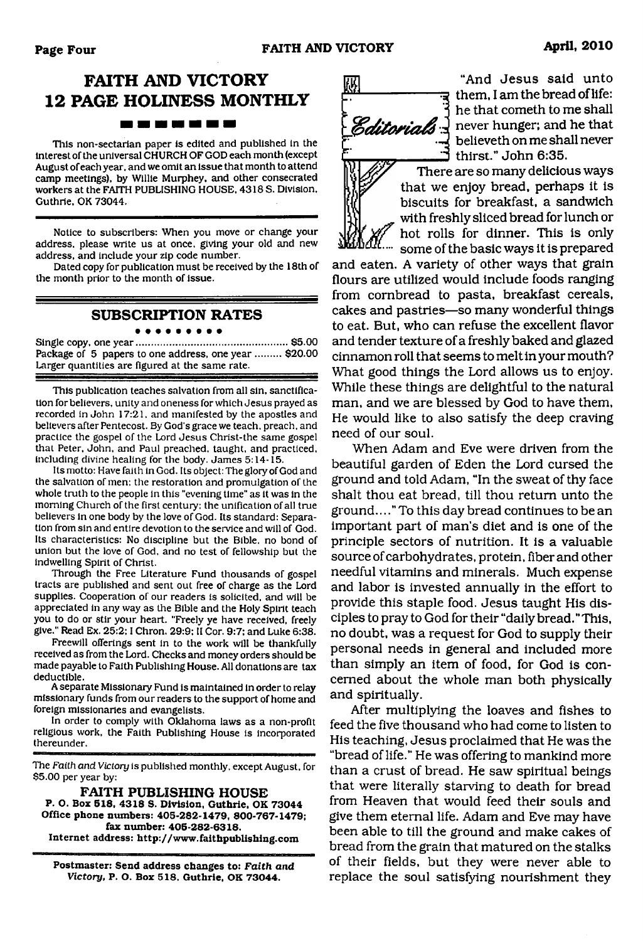# **FAITH AND VICTORY 12 PAGE HOLINESS MONTHLY** -------

This non-sectarian paper is edited and published in the Interest of the universal CHURCH OF GOD each month (except August of each year, and we omit an issue that month to attend camp meetings), by Willie Murphey, and other consecrated workers at the FAITH PUBLISHING HOUSE, 4318 S. Division. Guthrie, OK 73044.

Notice to subscribers: When you move or change your address, please write us at once, giving your old and new address, and include your zip code number.

Dated copy for publication must be received by the 18th of the month prior to the month of issue.

# **SUBSCRIPTION RATES**

Single copy, one year......................................................\$5.00 Package of 5 papers to one address, one year ......... \$20.00 Larger quantities are figured at the same rate.

This publication teaches salvation from all sin, sanctification for believers, unity and oneness for which Jesus prayed as recorded in John 17:21, and manifested by the apostles and believers after Pentecost. By God's grace we teach, preach, and practice the gospel of the Lord Jesus Christ-the same gospel that Peter, John, and Paul preached, taught, and practiced, including divine healing for the body. James 5:14-15.

Its motto: Have faith in God. Its object: The glory of God and the salvation of men: the restoration and promulgation of the whole truth to the people in this "evening time" as it was in the morning Church of the first century: the unification of all true believers in one body by the love of God. Its standard: Separation from sin and entire devotion to the service and will of God. Its characteristics: No discipline but the Bible, no bond of union but the love of God. and no test of fellowship but the indwelling Spirit of Christ.

Through the Free Literature Fund thousands of gospel tracts are published and sent out free of charge as the Lord supplies. Cooperation of our readers is solicited, and will be appreciated in any way as the Bible and the Holy Spirit teach you to do or stir your heart. "Freely ye have received, freely give." Read Ex. 25:2:1 Chron. 29:9: II Cor. 9:7; and Luke 6:38.

Freewill offerings sent in to the work will be thankfully received as from the Lord. Checks and money orders should be made payable to Faith Publishing House. All donations are tax deductible.

A separate Missionary Fund is maintained in order to relay missionary funds from our readers to the support of home and foreign missionaries and evangelists.

In order to comply with Oklahoma laws as a non-profit religious work, the Faith Publishing House is incorporated thereunder.

The *Faith and Victory* is published monthly, except August, for \$5.00 per year by:

**FAITH PUBLISHING HOUSE P. O. Box 518, 4318 S. Division, Guthrie, OK 73044 Office phone numbers: 405-282-1479, 800-767-1479: fax number: 405-282-6318. Internet address: <http://www.faithpublishing.com>**

**Postmaster: Send address changes to:** *Faith and Victory,* **P. O. Box 518, Guthrie, OK 73044.**



"And Jesus said unto न्नु them, I am the bread of life: he that cometh to me shall Editorials I never hunger; and he that believeth on me shall never thirst." John 6:35.

> There are so many delicious ways that we enjoy bread, perhaps it is biscuits for breakfast, a sandwich with freshly sliced bread for lunch or hot rolls for dinner. This is only some of the basic ways it is prepared

and eaten. A variety of other ways that grain flours are utilized would include foods ranging from combread to pasta, breakfast cereals, cakes and pastries—so many wonderful things to eat. But, who can refuse the excellent flavor and tender texture of a freshly baked and glazed cinnamon roll that seems to melt in your mouth? What good things the Lord allows us to enjoy. While these things are delightful to the natural man, and we are blessed by God to have them, He would like to also satisfy the deep craving need of our soul.

When Adam and Eve were driven from the beautiful garden of Eden the Lord cursed the ground and told Adam, "In the sweat of thy face shalt thou eat bread, till thou return unto the ground...." To this day bread continues to be an important part of man's diet and is one of the principle sectors of nutrition. It is a valuable source of carbohydrates, protein, fiber and other needful vitamins and minerals. Much expense and labor is invested annually in the effort to provide this staple food. Jesus taught His disciples to pray to God for their "daily bread."This, no doubt, was a request for God to supply their personal needs in general and included more than simply an item of food, for God is concerned about the whole man both physically and spiritually.

After multiplying the loaves and fishes to feed the five thousand who had come to listen to His teaching, Jesus proclaimed that He was the "bread of life." He was offering to mankind more than a crust of bread. He saw spiritual beings that were literally starving to death for bread from Heaven that would feed their souls and give them eternal life. Adam and Eve may have been able to till the ground and make cakes of bread from the grain that matured on the stalks of their fields, but they were never able to replace the soul satisfying nourishment they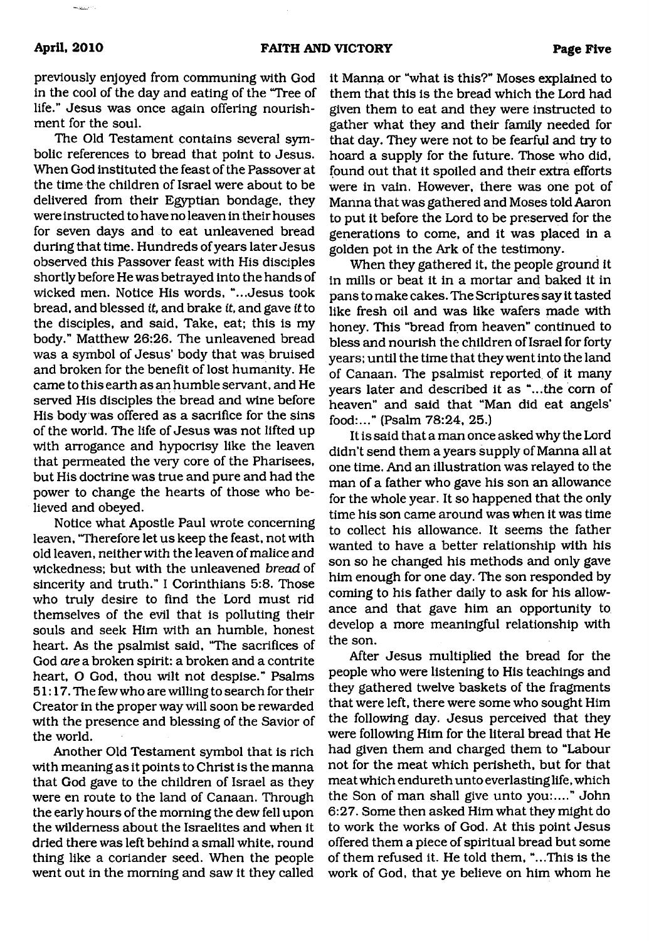previously enjoyed from communing with God in the cool of the day and eating of the "Tree of life." Jesus was once again offering nourishment for the soul.

The Old Testament contains several symbolic references to bread that point to Jesus. When God instituted the feast of the Passover at the time the children of Israel were about to be delivered from their Egyptian bondage, they were instructed to have no leaven in their houses for seven days and to eat unleavened bread during that time. Hundreds of years later Jesus observed this Passover feast with His disciples shortly before He was betrayed into the hands of wicked men. Notice His words, "...Jesus took bread, and blessed *it,* and brake *it,* and gave *it* to the disciples, and said, Take, eat; this is my body." Matthew 26:26. The unleavened bread was a symbol of Jesus' body that was bruised and broken for the benefit of lost humanity. He came to this earth as an humble servant, and He served His disciples the bread and wine before His body was offered as a sacrifice for the sins of the world. The life of Jesus was not lifted up with arrogance and hypocrisy like the leaven that permeated the very core of the Pharisees, but His doctrine was true and pure and had the power to change the hearts of those who believed and obeyed.

Notice what Apostle Paul wrote concerning leaven, "Therefore let us keep the feast, not with old leaven, neither with the leaven of malice and wickedness; but with the unleavened *bread* of sincerity and truth." I Corinthians 5:8. Those who truly desire to find the Lord must rid themselves of the evil that is polluting their souls and seek Him with an humble, honest heart. As the psalmist said, "The sacrifices of God *are* a broken spirit: a broken and a contrite heart, O God, thou wilt not despise." Psalms 51:17. The few who are willing to search for their Creator in the proper way will soon be rewarded with the presence and blessing of the Savior of the world.

Another Old Testament symbol that is rich with meaning as it points to Christ is the manna that God gave to the children of Israel as they were en route to the land of Canaan. Through the early hours of the morning the dew fell upon the wilderness about the Israelites and when it dried there was left behind a small white, round thing like a coriander seed. When the people went out in the morning and saw it they called

it Manna or "what is this?" Moses explained to them that this is the bread which the Lord had given them to eat and they were instructed to gather what they and their family needed for that day. They were not to be fearful and try to hoard a supply for the future. Those who did, found out that it spoiled and their extra efforts were in vain. However, there was one pot of Manna that was gathered and Moses told Aaron to put it before the Lord to be preserved for the generations to come, and it was placed in a golden pot in the Ark of the testimony.

When they gathered it, the people ground it in mills or beat it in a mortar and baked it in pans to make cakes. The Scriptures say it tasted like fresh oil and was like wafers made with honey. This "bread from heaven" continued to bless and nourish the children of Israel for forty years; until the time that they went into the land of Canaan. The psalmist reported, of it many years later and described it as "...the com of heaven" and said that "Man did eat angels' food:..." (Psalm 78:24, 25.)

It is said that a man once asked why the Lord didn't send them a years supply of Manna all at one time. And an illustration was relayed to the man of a father who gave his son an allowance for the whole year. It so happened that the only time his son came around was when it was time to collect his allowance. It seems the father wanted to have a better relationship with his son so he changed his methods and only gave him enough for one day. The son responded by coming to his father daily to ask for his allowance and that gave him an opportunity to develop a more meaningful relationship with the son.

After Jesus multiplied the bread for the people who were listening to His teachings and they gathered twelve baskets of the fragments that were left, there were some who sought Him the following day. Jesus perceived that they were following Him for the literal bread that He had given them and charged them to "Labour not for the meat which perisheth, but for that meat which endureth unto everlasting life, which the Son of man shall give unto you:...." John 6:27. Some then asked Him what they might do to work the works of God. At this point Jesus offered them a piece of spiritual bread but some of them refused it. He told them, "...This is the work of God, that ye believe on him whom he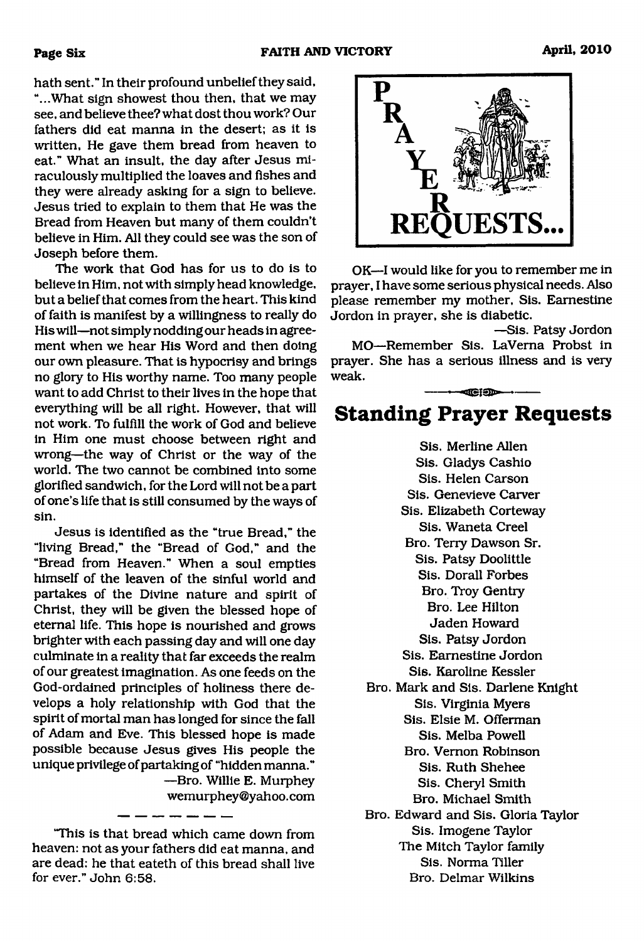hath sent." In their profound unbelief they said, "...What sign showest thou then, that we may see, and believe thee? what dost thou work? Our fathers did eat manna in the desert; as it is written, He gave them bread from heaven to eat." What an insult, the day after Jesus miraculously multiplied the loaves and fishes and they were already asking for a sign to believe. Jesus tried to explain to them that He was the Bread from Heaven but many of them couldn't believe in Him. All they could see was the son of Joseph before them.

The work that God has for us to do is to believe in Him, not with simply head knowledge, but a belief that comes from the heart. This kind of faith is manifest by a willingness to really do His will—not simply nodding our heads in agreement when we hear His Word and then doing our own pleasure. That is hypocrisy and brings no glory to His worthy name. Too many people want to add Christ to their lives in the hope that everything will be all right. However, that will not work. To fulfill the work of God and believe in Him one must choose between right and wrong—the way of Christ or the way of the world. The two cannot be combined into some glorified sandwich, for the Lord will not be a part of one's life that is still consumed by the ways of sin.

Jesus is identified as the "true Bread," the "living Bread," the "Bread of God," and the "Bread from Heaven." When a soul empties himself of the leaven of the sinful world and partakes of the Divine nature and spirit of Christ, they will be given the blessed hope of eternal life. This hope is nourished and grows brighter with each passing day and will one day culminate in a reality that far exceeds the realm of our greatest imagination. As one feeds on the God-ordained principles of holiness there develops a holy relationship with God that the spirit of mortal man has longed for since the fall of Adam and Eve. This blessed hope is made possible because Jesus gives His people the unique privilege of partaking of "hidden manna." —Bro. Willie E. Murphey

[wemurphey@yahoo.com](mailto:wemurphey@yahoo.com)



OK—I would like for you to remember me in prayer, I have some serious physical needs. Also please remember my mother, Sis. Eamestine Jordon in prayer, she is diabetic.

—Sis. Patsy Jordon MO—Remember Sis. LaVema Probst in prayer. She has a serious illness and is very weak.

# **Standing Prayer Requests**

 $-$ 

Sis. Merline Allen Sis. Gladys Cashio Sis. Helen Carson Sis. Genevieve Carver Sis. Elizabeth Corteway Sis. Waneta Creel Bro. Terry Dawson Sr. Sis. Patsy Doolittle Sis. Dorall Forbes Bro. Troy Gentry Bro. Lee Hilton Jaden Howard Sis. Patsy Jordon Sis. Eamestine Jordon Sis. Karoline Kessler Bro. Mark and Sis. Darlene Knight Sis. Virginia Myers Sis. Elsie M. Offerman Sis. Melba Powell Bro. Vernon Robinson Sis. Ruth Shehee Sis. Cheryl Smith Bro. Michael Smith Bro. Edward and Sis. Gloria Taylor Sis. Imogene Taylor The Mitch Taylor family Sis. Norma Tiller

Bro. Delmar Wilkins

<sup>&</sup>quot;This is that bread which came down from heaven: not as your fathers did eat manna, and are dead: he that eateth of this bread shall live for ever." John 6:58.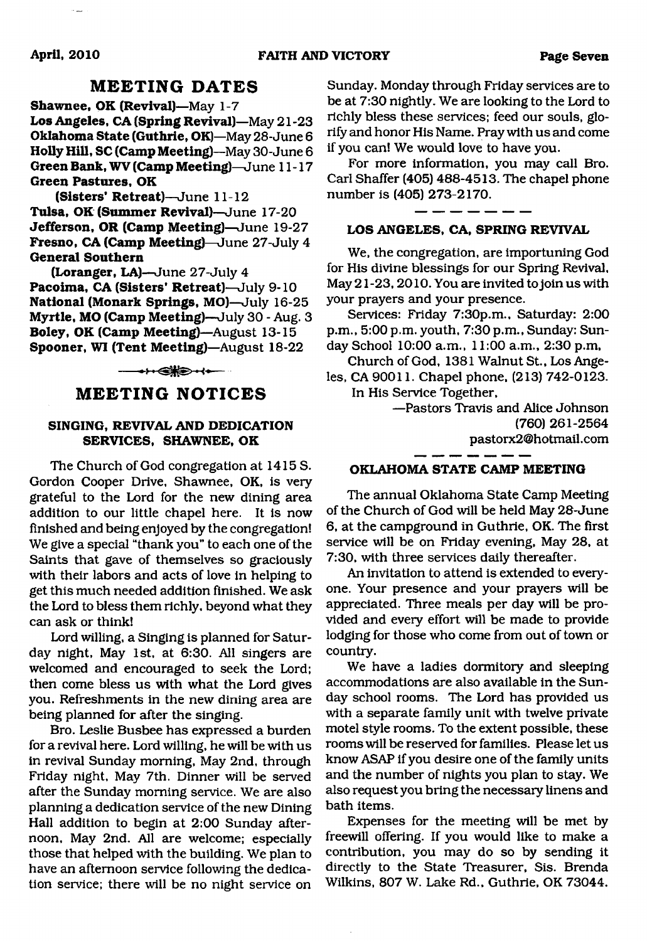# **MEETING DATES**

**Shawnee, OK (Revival)**—May 1-7 **Los Angeles, CA (Spring Revival)**—May 21 -23 **Oklahoma State (Guthrie, OK)—**May 28-June 6 **Holly Hill, SC (Camp Meeting)—**May 30-June 6 **Green Bank, WV (Camp Meeting)—**June 11-17 **Green Pastures, OK**

**(Sisters' Retreat)—**June 11-12 **Tulsa, OK (Summer Revival)—**June 17-20 **Jefferson, OR (Camp Meeting)—**June 19-27 **Fresno, CA (Camp Meeting)—**June 27-July 4 **General Southern**

**(Loranger, LA)**—June 27-July 4 **Pacoima, CA (Sisters' Retreat)**—July 9-10 **National (Monark Springs, MO)**—July 16-25 **Myrtle, MO (Camp Meeting)**—July 30 - Aug. 3 **Boley, OK (Camp Meeting)**—August 13-15 **Spooner, WI (Tent Meeting)**—August 18-22

 $-1$ 

# **MEETING NOTICES**

#### **SINGING, REVIVAL AND DEDICATION SERVICES, SHAWNEE, OK**

The Church of God congregation at 1415 S. Gordon Cooper Drive, Shawnee, OK, is very grateful to the Lord for the new dining area addition to our little chapel here. It is now finished and being enjoyed by the congregation! We give a special "thank you" to each one of the Saints that gave of themselves so graciously with their labors and acts of love in helping to get this much needed addition finished. We ask the Lord to bless them richly, beyond what they can ask or think!

Lord willing, a Singing is planned for Saturday night, May 1st, at 6:30. All singers are welcomed and encouraged to seek the Lord; then come bless us with what the Lord gives you. Refreshments in the new dining area are being planned for after the singing.

Bro. Leslie Busbee has expressed a burden for a revival here. Lord willing, he will be with us in revival Sunday morning, May 2nd, through Friday night, May 7th. Dinner will be served after the Sunday morning service. We are also planning a dedication service of the new Dining Hall addition to begin at 2:00 Sunday afternoon, May 2nd. All are welcome; especially those that helped with the building. We plan to have an afternoon service following the dedication service; there will be no night service on

Sunday. Monday through Friday services are to be at 7:30 nightly. We are looking to the Lord to richly bless these services; feed our souls, glorify and honor His Name. Pray with us and come if you can! We would love to have you.

For more information, you may call Bro. Carl Shaffer (405) 488-4513. The chapel phone number is (405) 273-2170.

#### **LOS ANGELES. CA, SPRING REVIVAL**

We, the congregation, are importuning God for His divine blessings for our Spring Revival, May 21 -23,2010. You are invited to join us with your prayers and your presence.

Services: Friday 7:30p.m., Saturday: 2:00 p.m., 5:00 p.m. youth, 7:30 p.m., Sunday: Sunday School 10:00 a.m., 11:00 a.m., 2:30 p.m,

Church of God, 1381 Walnut St., Los Angeles, CA 90011. Chapel phone, (213) 742-0123. In His Service Together,

> —Pastors Travis and Alice Johnson (760) 261-2564 [pastorx2@hotmail.com](mailto:pastorx2@hotmail.com)

#### **OKLAHOMA STATE CAMP MEETING**

The annual Oklahoma State Camp Meeting of the Church of God will be held May 28-June 6, at the campground in Guthrie, OK. The first service will be on Friday evening, May 28, at 7:30, with three services daily thereafter.

An invitation to attend is extended to everyone. Your presence and your prayers will be appreciated. Three meals per day will be provided and every effort will be made to provide lodging for those who come from out of town or country.

We have a ladies dormitory and sleeping accommodations are also available in the Sunday school rooms. The Lord has provided us with a separate family unit with twelve private motel style rooms. To the extent possible, these rooms will be reserved for families. Please let us know ASAP if you desire one of the family units and the number of nights you plan to stay. We also request you bring the necessary linens and bath items.

Expenses for the meeting will be met by freewill offering. If you would like to make a contribution, you may do so by sending it directly to the State Treasurer, Sis. Brenda Wilkins, 807 W. Lake Rd., Guthrie, OK 73044.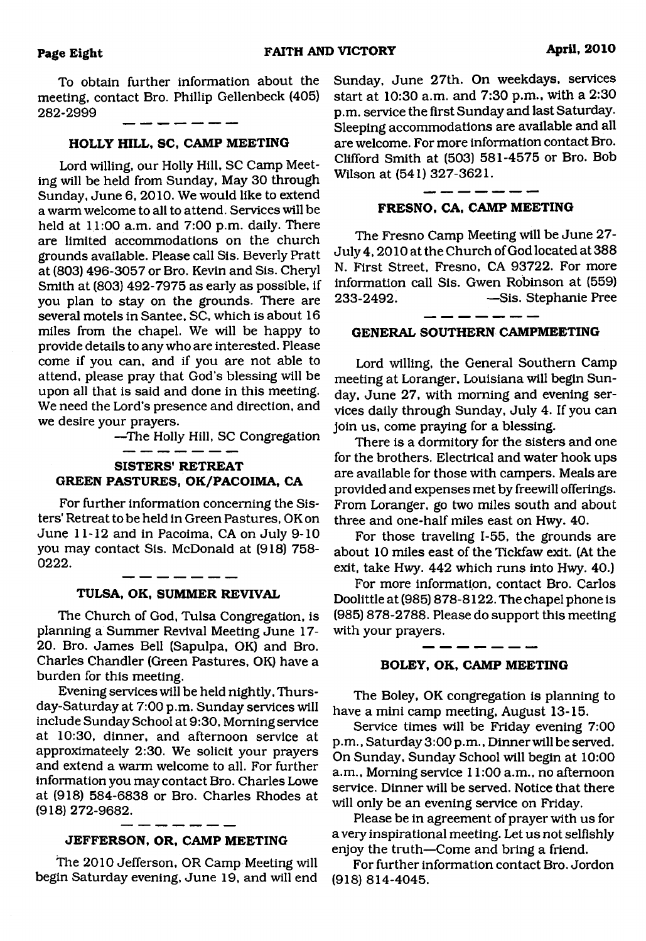To obtain further information about the meeting, contact Bro. Phillip Gellenbeck (405) 282-2999

#### **HOLLY HILL, SC, CAMP MEETING**

Lord willing, our Holly Hill, SC Camp Meeting will be held from Sunday, May 30 through Sunday, June 6, 2010. We would like to extend a warm welcome to all to attend. Services will be held at 11:00 a.m. and 7:00 p.m. daily. There are limited accommodations on the church grounds available. Please call Sis. Beverly Pratt at (803) 496-3057 or Bro. Kevin and Sis. Cheryl Smith at (803) 492-7975 as early as possible, if you plan to stay on the grounds. There are several motels in Santee, SC, which is about 16 miles from the chapel. We will be happy to provide details to any who are interested. Please come if you can, and if you are not able to attend, please pray that God's blessing will be upon all that is said and done in this meeting. We need the Lord's presence and direction, and we desire your prayers.

—The Holly Hill, SC Congregation

### **SISTERS' RETREAT GREEN PASTURES, OK/PACOIMA, CA**

-------

For further information concerning the Sisters' Retreat to be held in Green Pastures, OK on June 11-12 and in Pacoima, CA on July 9-10 you may contact Sis. McDonald at (918) 758- 0222.

#### $-$ **TULSA, OK, SUMMER REVIVAL**

The Church of God, Tulsa Congregation, is planning a Summer Revival Meeting June 17- 20. Bro. James Bell (Sapulpa, OK) and Bro. Charles Chandler (Green Pastures, OK) have a burden for this meeting.

Evening services will be held nightly, Thursday-Saturday at 7:00 p.m. Sunday services will include Sunday School at 9:30, Morning service at 10:30, dinner, and afternoon service at approximately 2:30. We solicit your prayers and extend a warm welcome to all. For further information you may contact Bro. Charles Lowe at (918) 584-6838 or Bro. Charles Rhodes at (918) 272-9682.

#### **JEFFERSON, OR, CAMP MEETING**

The 2010 Jefferson, OR Camp Meeting will begin Saturday evening, June 19, and will end Sunday, June 27th. On weekdays, services start at 10:30 a.m. and 7:30 p.m., with a 2:30 p.m. service the first Sunday and last Saturday. Sleeping accommodations are available and all are welcome. For more information contact Bro. Clifford Smith at (503) 581-4575 or Bro. Bob Wilson at (541) 327-3621.

#### **FRESNO, CA, CAMP MEETING**

The Fresno Camp Meeting will be June 27- July 4,2010 at the Church of God located at 388 N. First Street, Fresno, CA 93722. For more information call Sis. Gwen Robinson at (559) 233-2492. —Sis. Stephanie Pree

### **GENERAL SOUTHERN CAMPMEETING**

Lord willing, the General Southern Camp meeting at Loranger, Louisiana will begin Sunday, June 27, with morning and evening services daily through Sunday, July 4. If you can join us, come praying for a blessing.

There is a dormitory for the sisters and one for the brothers. Electrical and water hook ups are available for those with campers. Meals are provided and expenses met by freewill offerings. From Loranger, go two miles south and about three and one-half miles east on Hwy. 40.

For those traveling 1-55, the grounds are about 10 miles east of the Tickfaw exit. (At the exit, take Hwy. 442 which runs into Hwy. 40.)

For more information, contact Bro. Carlos Doolittle at (985) 878-8122. The chapel phone is (985) 878-2788. Please do support this meeting with your prayers.

#### **BOLEY, OK, CAMP MEETING**

- - - - - -

The Boley, OK congregation is planning to have a mini camp meeting, August 13-15.

Service times will be Friday evening 7:00 p.m., Saturday 3:00 p.m., Dinner will be served. On Sunday, Sunday School will begin at 10:00 a.m., Morning service 11:00 a.m., no afternoon service. Dinner will be served. Notice that there will only be an evening service on Friday.

Please be in agreement of prayer with us for a very inspirational meeting. Let us not selfishly enjoy the truth—Come and bring a friend.

For further information contact Bro. Jordon (918) 814-4045.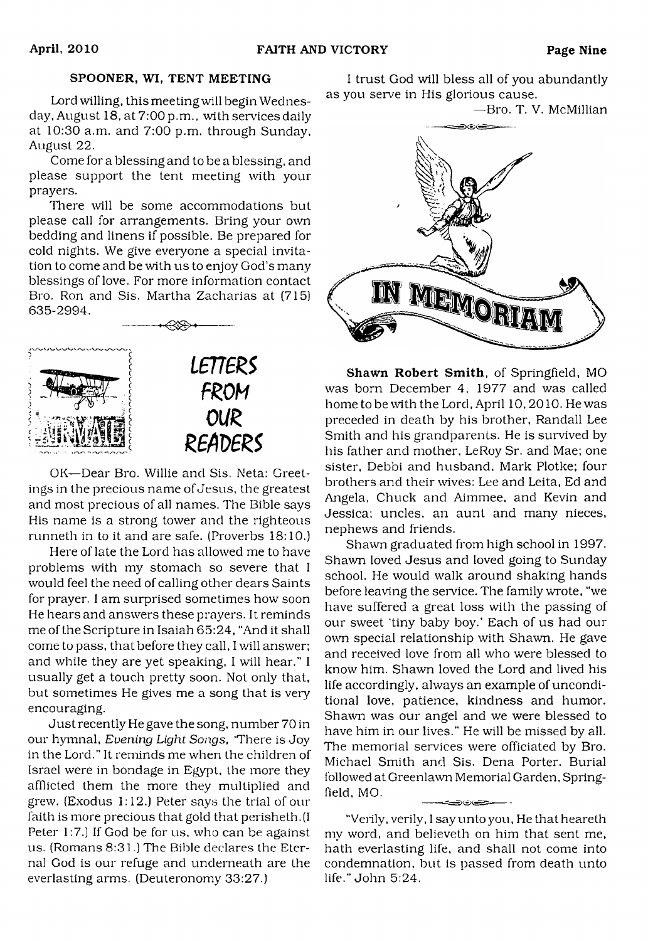#### SPOONER, WI, TENT MEETING

Lord willing, this meeting will begin Wednesday, August 18, at 7:00 p.m., with services daily at 10:30 a.m. and 7:00 p.m. through Sunday, August 22.

Come for a blessing and to be a blessing, and please support the tent meeting with your prayers.

There will be some accommodations but please call for arrangements. Bring your own bedding and linens if possible. Be prepared for cold nights. We give everyone a special invitation to come and be with us to enjoy God's many blessings of love. For more information contact Bro. Ron and Sis. Martha Zacharias at (715) 635-2994.



OK—Dear Bro. Willie and Sis. Neta: Greetings in the precious name of Jesus, the greatest and most precious of all names. The Bible says His name is a strong tower and the righteous runneth in to it and are safe. (Proverbs 18:10.)

Here of late the Lord has allowed me to have problems with my stomach so severe that I would feel the need of calling other dears Saints for prayer. I am surprised sometimes how soon He hears and answers these prayers. It reminds me of the Scripture in Isaiah 65:24, "And it shall come to pass, that before they call, I will answer: and while they are yet speaking, I will hear." I usually get a touch pretty soon. Not only that, but sometimes He gives me a song that is very encouraging.

Just recently He gave the song, number 70 in our hymnal, *Evening Light Songs,* 'There is Joy in the Lord." It reminds me when the children of Israel were in bondage in Egypt, the more they afflicted them the more they multiplied and grew. (Exodus 1:12.) Peter says the trial of our faith is more precious that gold that perisheth.(I Peter 1:7.) If God be for us, who can be against us. (Romans 8:31.) The Bible declares the Eternal God is our refuge and underneath are the everlasting arms. (Deuteronomy 33:27.)

I trust God will bless all of you abundantly as you serve in His glorious cause.

—Bro. T. V. McMillian



**Shawn Robert Smith,** of Springfield, MO was born December 4, 1977 and was called home to be with the Lord, April 10,2010. He was preceded in death by his brother, Randall Lee Smith and his grandparents. He is survived by his father and mother. LeRoy Sr. and Mae; one sister, Debbi and husband, Mark Plotke; four brothers and their wives: Lee and Leita, Ed and Angela, Chuck and Aimmee, and Kevin and Jessica: uncles, an aunt and many nieces, nephews and friends.

Shawn graduated from high school in 1997. Shawn loved Jesus and loved going to Sunday school. He would walk around shaking hands before leaving the service. The family wrote, "we have suffered a great loss with the passing of our sweet 'tiny baby boy.' Each of us had our own special relationship with Shawn. He gave and received love from all who were blessed to know him. Shawn loved the Lord and lived his life accordingly, always an example of unconditional love, patience, kindness and humor. Shawn was our angel and we were blessed to have him in our lives." He will be missed by all. The memorial services were officiated by Bro. Michael Smith and Sis. Dena Porter. Burial followed at Greenlawn Memorial Garden, Springfield. MO. .<br>- مستوقف رفار قسوے پ

"Verily, verily. I say unto you, He thatheareth my word, and believeth on him that sent me, hath everlasting life, and shall not come into condemnation, but is passed from death unto life." John 5:24.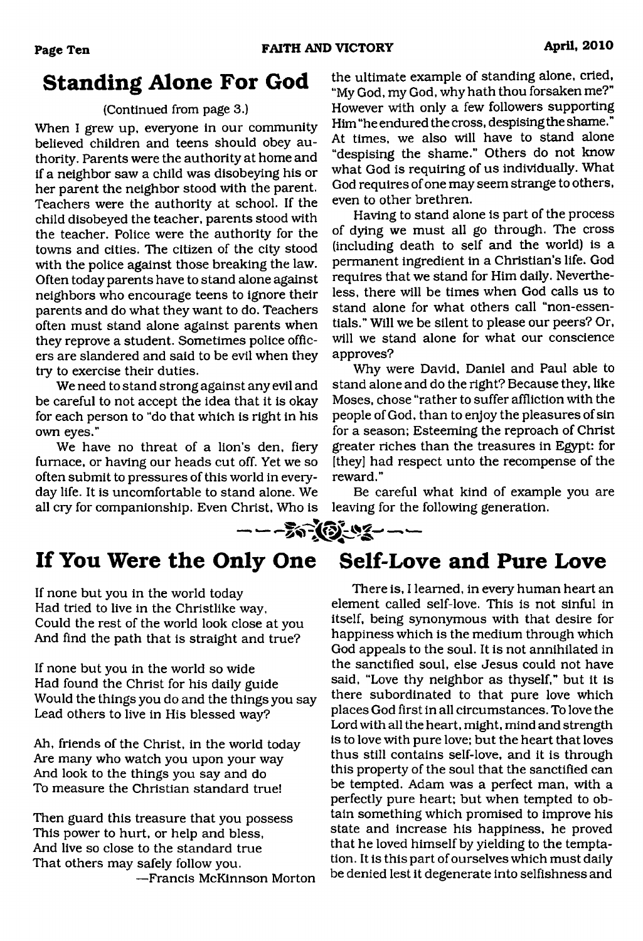# **Standing Alone For God**

### (Continued from page 3.)

When I grew up, everyone in our community believed children and teens should obey authority. Parents were the authority at home and if a neighbor saw a child was disobeying his or her parent the neighbor stood with the parent. Teachers were the authority at school. If the child disobeyed the teacher, parents stood with the teacher. Police were the authority for the towns and cities. The citizen of the city stood with the police against those breaking the law. Often today parents have to stand alone against neighbors who encourage teens to ignore their parents and do what they want to do. Teachers often must stand alone against parents when they reprove a student. Sometimes police officers are slandered and said to be evil when they try to exercise their duties.

We need to stand strong against any evil and be careful to not accept the idea that it is okay for each person to "do that which is right in his own eyes."

We have no threat of a lion's den, fiery furnace, or having our heads cut off. Yet we so often submit to pressures of this world in everyday life. It is uncomfortable to stand alone. We all cry for companionship. Even Christ, Who is the ultimate example of standing alone, cried, "My God, my God, why hath thou forsaken me?" However with only a few followers supporting Him "he endured the cross, despising the shame." At times, we also will have to stand alone "despising the shame." Others do not know what God is requiring of us individually. What God requires of one may seem strange to others, even to other brethren.

Having to stand alone is part of the process of dying we must all go through. The cross (including death to self and the world) is a permanent ingredient in a Christian's life. God requires that we stand for Him daily. Nevertheless, there will be times when God calls us to stand alone for what others call "non-essentials." Will we be silent to please our peers? Or, will we stand alone for what our conscience approves?

Why were David, Daniel and Paul able to stand alone and do the right? Because they, like Moses, chose "rather to suffer affliction with the people of God, than to enjoy the pleasures of sin for a season; Esteeming the reproach of Christ greater riches than the treasures in Egypt: for [they] had respect unto the recompense of the reward."

Be careful what kind of example you are leaving for the following generation.



# **If You Were the Only One Self-Love and Pure Love**

If none but you in the world today Had tried to live in the Christlike way, Could the rest of the world look close at you And find the path that is straight and true?

If none but you in the world so wide Had found the Christ for his daily guide Would the things you do and the things you say Lead others to live in His blessed way?

Ah, friends of the Christ, in the world today Are many who watch you upon your way And look to the things you say and do To measure the Christian standard true!

Then guard this treasure that you possess This power to hurt, or help and bless, And live so close to the standard true That others may safely follow you.

—Francis McKinnson Morton

There is, I learned, in every human heart an element called self-love. This is not sinful in itself, being synonymous with that desire for happiness which is the medium through which God appeals to the soul. It is not annihilated in the sanctified soul, else Jesus could not have said, "Love thy neighbor as thyself," but it is there subordinated to that pure love which places God first in all circumstances. To love the Lord with all the heart, might, mind and strength is to love with pure love; but the heart that loves thus still contains self-love, and it is through this property of the soul that the sanctified can be tempted. Adam was a perfect man, with a perfectly pure heart; but when tempted to obtain something which promised to improve his state and increase his happiness, he proved that he loved himself by yielding to the temptation. It is this part of ourselves which must daily be denied lest it degenerate into selfishness and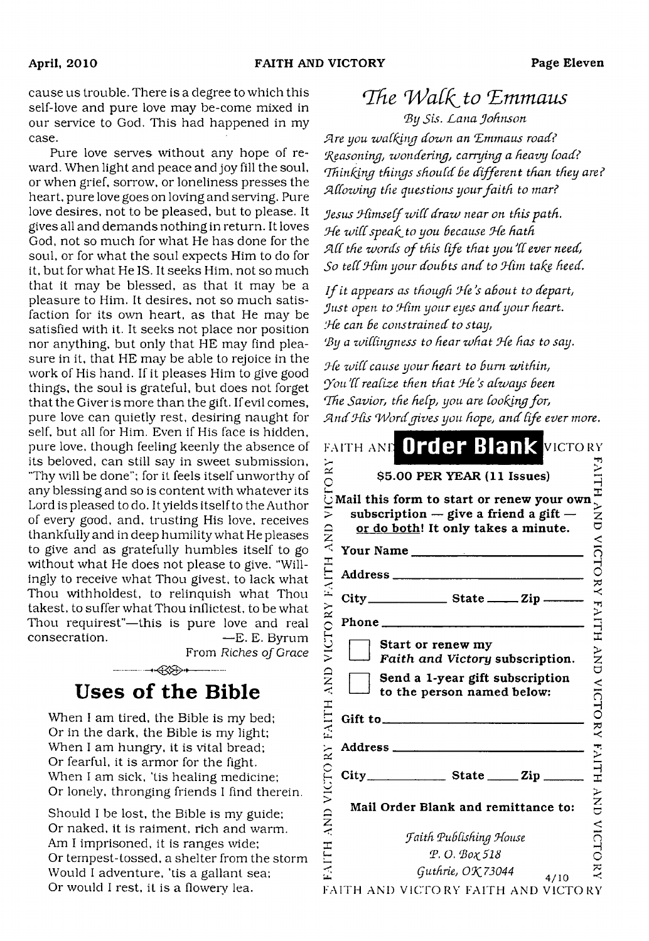cause us trouble. There is a degree to which this self-love and pure love may be-come mixed in our service to God. This had happened in my case.

Pure love serves without any hope of reward. When light and peace and joy fill the soul, or when grief, sorrow, or loneliness presses the heart, pure love goes on loving and serving. Pure love desires, not to be pleased, but to please. It gives all and demands nothing in return. It loves God, not so much for what He has done for the soul, or for what the soul expects Him to do for it, but for what He IS. It seeks Him, not so much that it may be blessed, as that it may be a pleasure to Him. It desires, not so much satisfaction for its own heart, as that He may be satisfied with it. It seeks not place nor position nor anything, but only that HE may find pleasure in it, that HE may be able to rejoice in the work of His hand. If it pleases Him to give good things, the soul is grateful, but does not forget that the Giver is more than the gift. If evil comes, pure love can quietly rest, desiring naught for self, but all for Him. Even if His face is hidden, pure love, though feeling keenly the absence of its beloved, can still say in sweet submission, "Thy will be done"; for it feels itself unworthy of any blessing and so is content with whatever its Lord is pleased to do. It yields itself to the Author of every good, and, trusting His love, receives thankfully and in deep humility what He pleases to give and as gratefully humbles itself to go without what He does not please to give. "Willingly to receive what Thou givest, to lack what Thou withholdest, to relinquish what Thou takest, to suffer what Thou inflictest, to be what Thou requirest"—this is pure love and real consecration. — T. E. Byrum

From *Riches of Grace*

# $\longrightarrow$  $\rightarrow$ **Uses of the Bible**

When I am tired, the Bible is my bed; Or in the dark, the Bible is my light; When I am hungry, it is vital bread; Or fearful, it is armor for the fight. When I am sick, 'tis healing medicine; Or lonely, thronging friends I find therein.

Should I be lost, the Bible is my guide; Or naked, it is raiment, rich and warm. Am I imprisoned, it is ranges wide; Or tempest-tossed, a shelter from the storm Would I adventure, 'tis a gallant sea; Or would I rest, it is a flowery lea.

# The *Walk* to Emmaus *By Sis. Lana Johnson*

*Sire you walking down an 'Emmaus road? 'Seasoning, wondering, carrying a heavy Coad? Thinking things should be different than they are? SlCCowing the questions your faith to mar?*

*Jesus JfimseCf wiCC draw near on this-path. Jfe wi(Cspeafftoyou Because Jfe hath* All the words of this life that you'll ever need, So tell Him your doubts and to Him take heed.

*I f it appears as though J(e 's aBout to depart, Just open to Jfirn your eyes and your heart. iHe can Be constrained to stay, 'By a zviCCingness to hear what Ode has to say.*

*Jfe wiCC cause your heart to Bum within, 'you'dreadze then that 'Jfe's aCways Been* The Savior, the help, you are looking for, *JLtidJfis 'Wordgives you hope, and Cife evermore.*

| FAITH AND Order Blank VICTORY                                                                                                 |  |
|-------------------------------------------------------------------------------------------------------------------------------|--|
| \$5.00 PER YEAR (11 Issues)                                                                                                   |  |
| Mail this form to start or renew your own<br>subscription $-$ give a friend a gift $-$<br>or do both! It only takes a minute. |  |
| Your Name                                                                                                                     |  |
|                                                                                                                               |  |
|                                                                                                                               |  |
| Phone                                                                                                                         |  |
| Start or renew my<br>Faith and Victory subscription.                                                                          |  |
| Send a 1-year gift subscription<br>to the person named below:                                                                 |  |
|                                                                                                                               |  |
|                                                                                                                               |  |
|                                                                                                                               |  |
| Mail Order Blank and remittance to:                                                                                           |  |
| Faith Publishing House                                                                                                        |  |
| P.O. Βοχ 518                                                                                                                  |  |
| Guthrie, OK 73044<br>4/10                                                                                                     |  |